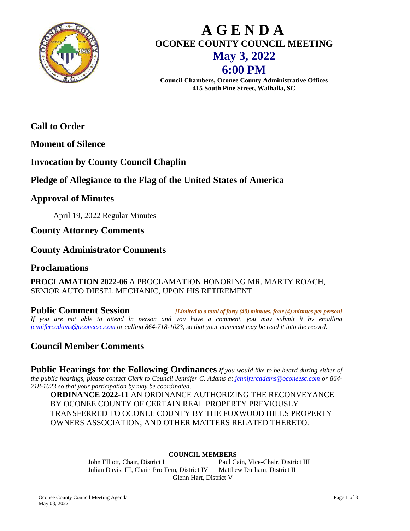

# **A G E N D A OCONEE COUNTY COUNCIL MEETING May 3, 2022 6:00 PM**

**Council Chambers, Oconee County Administrative Offices 415 South Pine Street, Walhalla, SC**

**Call to Order** 

**Moment of Silence**

# **Invocation by County Council Chaplin**

# **Pledge of Allegiance to the Flag of the United States of America**

# **Approval of Minutes**

April 19, 2022 Regular Minutes

**County Attorney Comments**

# **County Administrator Comments**

## **Proclamations**

#### **PROCLAMATION 2022-06** A PROCLAMATION HONORING MR. MARTY ROACH, SENIOR AUTO DIESEL MECHANIC, UPON HIS RETIREMENT

**Public Comment Session** *[Limited to a total of forty (40) minutes, four (4) minutes per person] If you are not able to attend in person and you have a comment, you may submit it by emailing [jennifercadams@oconeesc.com](mailto:jennifercadams@oconeesc.com) or calling 864-718-1023, so that your comment may be read it into the record.*

# **Council Member Comments**

**Public Hearings for the Following Ordinances** *If you would like to be heard during either of the public hearings, please contact Clerk to Council Jennifer C. Adams at [jennifercadams@oconeesc.com o](mailto:jennifercadams@oconeesc.com)r 864- 718-1023 so that your participation by may be coordinated.*

**ORDINANCE 2022-11** AN ORDINANCE AUTHORIZING THE RECONVEYANCE BY OCONEE COUNTY OF CERTAIN REAL PROPERTY PREVIOUSLY TRANSFERRED TO OCONEE COUNTY BY THE FOXWOOD HILLS PROPERTY OWNERS ASSOCIATION; AND OTHER MATTERS RELATED THERETO.

#### **COUNCIL MEMBERS**

John Elliott, Chair, District I Paul Cain, Vice-Chair, District III Julian Davis, III, Chair Pro Tem, District IV Matthew Durham, District II Glenn Hart, District V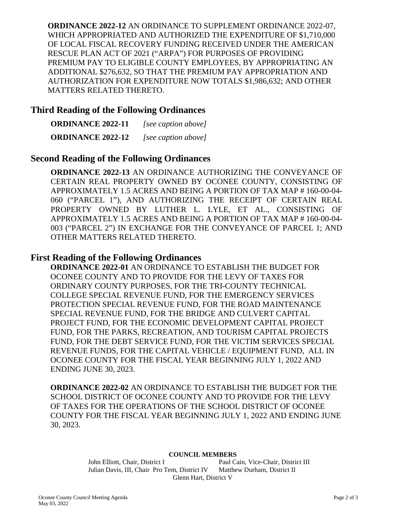**ORDINANCE 2022-12** AN ORDINANCE TO SUPPLEMENT ORDINANCE 2022-07, WHICH APPROPRIATED AND AUTHORIZED THE EXPENDITURE OF \$1,710,000 OF LOCAL FISCAL RECOVERY FUNDING RECEIVED UNDER THE AMERICAN RESCUE PLAN ACT OF 2021 ("ARPA") FOR PURPOSES OF PROVIDING PREMIUM PAY TO ELIGIBLE COUNTY EMPLOYEES, BY APPROPRIATING AN ADDITIONAL \$276,632, SO THAT THE PREMIUM PAY APPROPRIATION AND AUTHORIZATION FOR EXPENDITURE NOW TOTALS \$1,986,632; AND OTHER MATTERS RELATED THERETO.

## **Third Reading of the Following Ordinances**

**ORDINANCE 2022-11** *[see caption above]* **ORDINANCE 2022-12** *[see caption above]*

## **Second Reading of the Following Ordinances**

**ORDINANCE 2022-13** AN ORDINANCE AUTHORIZING THE CONVEYANCE OF CERTAIN REAL PROPERTY OWNED BY OCONEE COUNTY, CONSISTING OF APPROXIMATELY 1.5 ACRES AND BEING A PORTION OF TAX MAP # 160-00-04- 060 ("PARCEL 1"), AND AUTHORIZING THE RECEIPT OF CERTAIN REAL PROPERTY OWNED BY LUTHER L. LYLE, ET AL., CONSISTING OF APPROXIMATELY 1.5 ACRES AND BEING A PORTION OF TAX MAP # 160-00-04- 003 ("PARCEL 2") IN EXCHANGE FOR THE CONVEYANCE OF PARCEL 1; AND OTHER MATTERS RELATED THERETO.

#### **First Reading of the Following Ordinances**

**ORDINANCE 2022-01** AN ORDINANCE TO ESTABLISH THE BUDGET FOR OCONEE COUNTY AND TO PROVIDE FOR THE LEVY OF TAXES FOR ORDINARY COUNTY PURPOSES, FOR THE TRI-COUNTY TECHNICAL COLLEGE SPECIAL REVENUE FUND, FOR THE EMERGENCY SERVICES PROTECTION SPECIAL REVENUE FUND, FOR THE ROAD MAINTENANCE SPECIAL REVENUE FUND, FOR THE BRIDGE AND CULVERT CAPITAL PROJECT FUND, FOR THE ECONOMIC DEVELOPMENT CAPITAL PROJECT FUND, FOR THE PARKS, RECREATION, AND TOURISM CAPITAL PROJECTS FUND, FOR THE DEBT SERVICE FUND, FOR THE VICTIM SERVICES SPECIAL REVENUE FUNDS, FOR THE CAPITAL VEHICLE / EQUIPMENT FUND, ALL IN OCONEE COUNTY FOR THE FISCAL YEAR BEGINNING JULY 1, 2022 AND ENDING JUNE 30, 2023.

**ORDINANCE 2022-02** AN ORDINANCE TO ESTABLISH THE BUDGET FOR THE SCHOOL DISTRICT OF OCONEE COUNTY AND TO PROVIDE FOR THE LEVY OF TAXES FOR THE OPERATIONS OF THE SCHOOL DISTRICT OF OCONEE COUNTY FOR THE FISCAL YEAR BEGINNING JULY 1, 2022 AND ENDING JUNE 30, 2023.

#### **COUNCIL MEMBERS**

John Elliott, Chair, District I Paul Cain, Vice-Chair, District III Julian Davis, III, Chair Pro Tem, District IV Matthew Durham, District II Glenn Hart, District V